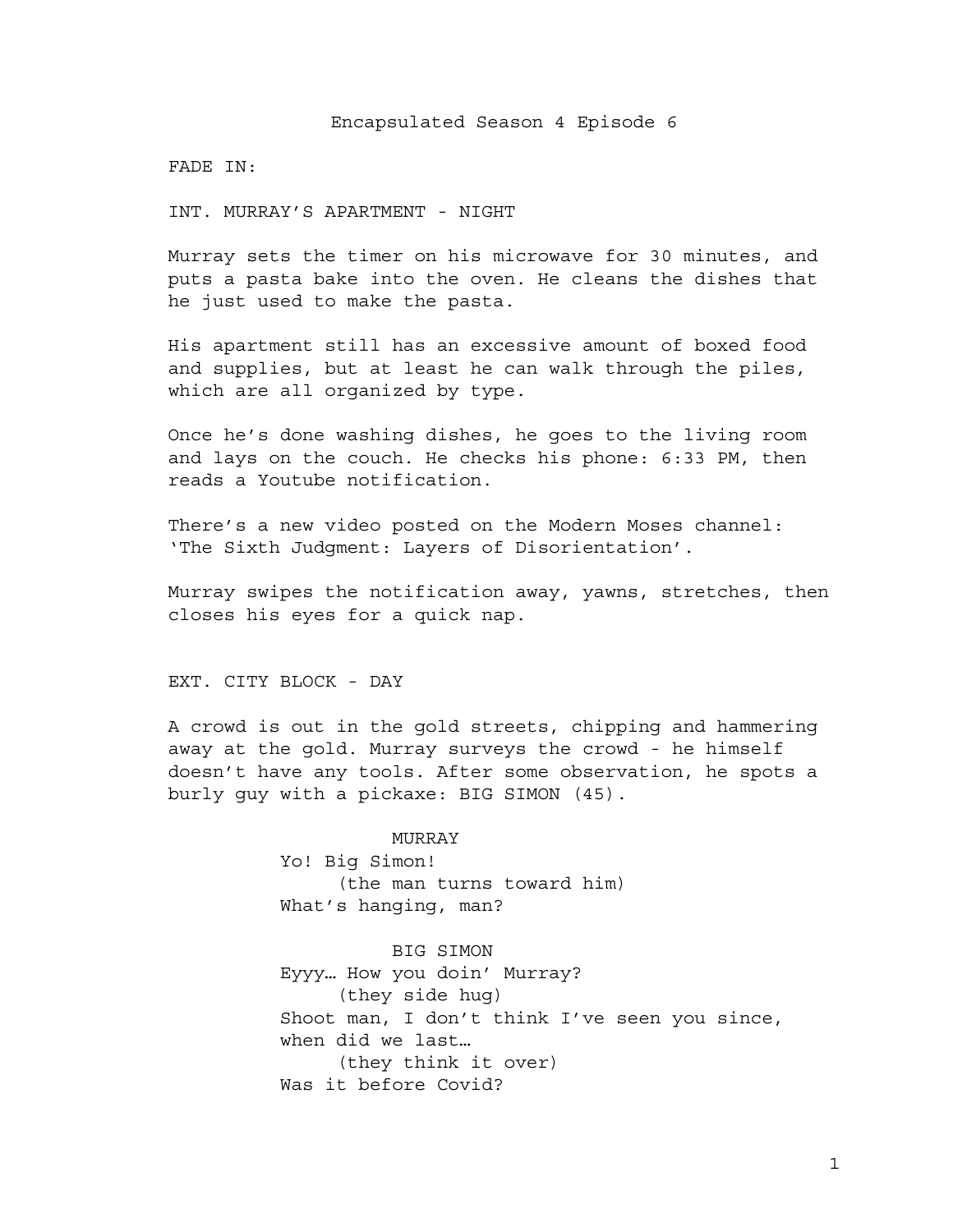FADE IN:

INT. MURRAY'S APARTMENT - NIGHT

Murray sets the timer on his microwave for 30 minutes, and puts a pasta bake into the oven. He cleans the dishes that he just used to make the pasta.

His apartment still has an excessive amount of boxed food and supplies, but at least he can walk through the piles, which are all organized by type.

Once he's done washing dishes, he goes to the living room and lays on the couch. He checks his phone: 6:33 PM, then reads a Youtube notification.

There's a new video posted on the Modern Moses channel: 'The Sixth Judgment: Layers of Disorientation'.

Murray swipes the notification away, yawns, stretches, then closes his eyes for a quick nap.

EXT. CITY BLOCK - DAY

A crowd is out in the gold streets, chipping and hammering away at the gold. Murray surveys the crowd - he himself doesn't have any tools. After some observation, he spots a burly guy with a pickaxe: BIG SIMON (45).

> MURRAY Yo! Big Simon! (the man turns toward him) What's hanging, man?

BIG SIMON Eyyy… How you doin' Murray? (they side hug) Shoot man, I don't think I've seen you since, when did we last… (they think it over) Was it before Covid?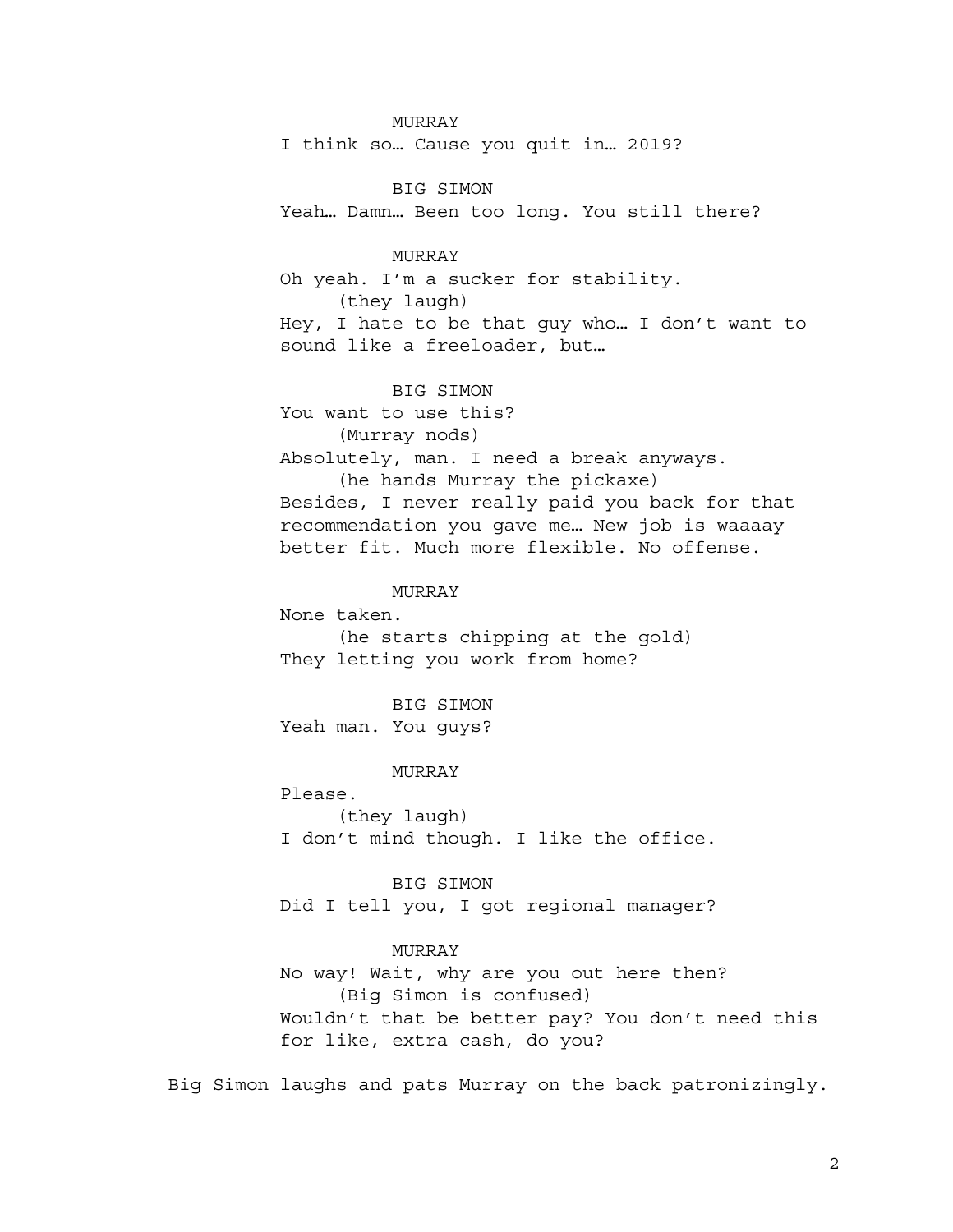### MURRAY

I think so… Cause you quit in… 2019?

BIG SIMON Yeah… Damn… Been too long. You still there?

## MURRAY

Oh yeah. I'm a sucker for stability. (they laugh) Hey, I hate to be that guy who… I don't want to sound like a freeloader, but…

BIG SIMON You want to use this? (Murray nods) Absolutely, man. I need a break anyways. (he hands Murray the pickaxe) Besides, I never really paid you back for that recommendation you gave me… New job is waaaay better fit. Much more flexible. No offense.

#### MURRAY

None taken. (he starts chipping at the gold) They letting you work from home?

BIG SIMON Yeah man. You guys?

MURRAY

Please. (they laugh) I don't mind though. I like the office.

BIG SIMON Did I tell you, I got regional manager?

## MURRAY

No way! Wait, why are you out here then? (Big Simon is confused) Wouldn't that be better pay? You don't need this for like, extra cash, do you?

Big Simon laughs and pats Murray on the back patronizingly.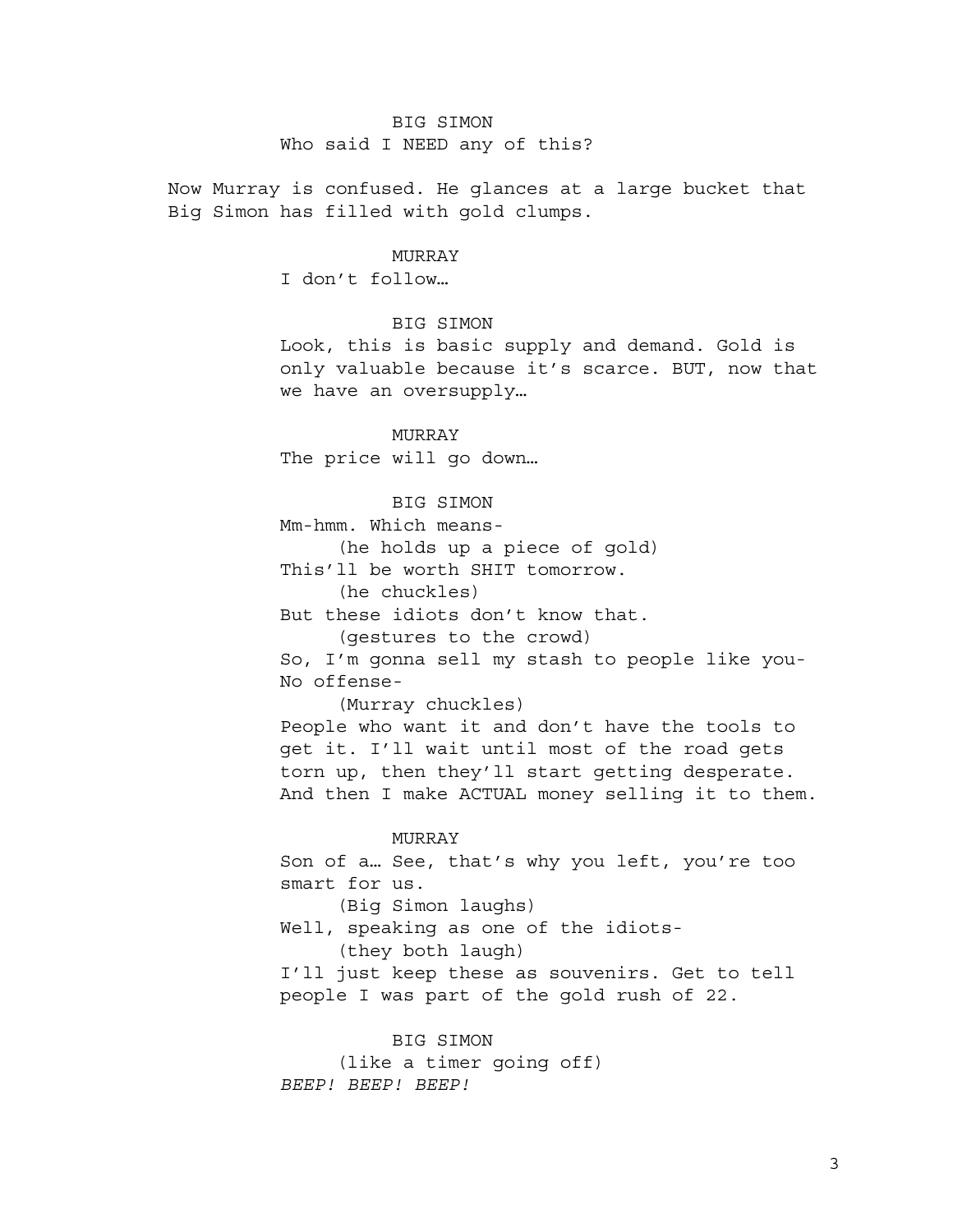# BIG SIMON Who said I NEED any of this?

Now Murray is confused. He glances at a large bucket that Big Simon has filled with gold clumps.

#### MURRAY

I don't follow…

BIG SIMON

Look, this is basic supply and demand. Gold is only valuable because it's scarce. BUT, now that we have an oversupply…

MURRAY The price will go down…

BIG SIMON

Mm-hmm. Which means-

(he holds up a piece of gold)

This'll be worth SHIT tomorrow.

(he chuckles)

But these idiots don't know that.

(gestures to the crowd)

So, I'm gonna sell my stash to people like you-No offense-

(Murray chuckles)

People who want it and don't have the tools to get it. I'll wait until most of the road gets torn up, then they'll start getting desperate. And then I make ACTUAL money selling it to them.

# MURRAY

Son of a… See, that's why you left, you're too smart for us. (Big Simon laughs) Well, speaking as one of the idiots- (they both laugh)

I'll just keep these as souvenirs. Get to tell people I was part of the gold rush of 22.

BIG SIMON (like a timer going off) *BEEP! BEEP! BEEP!*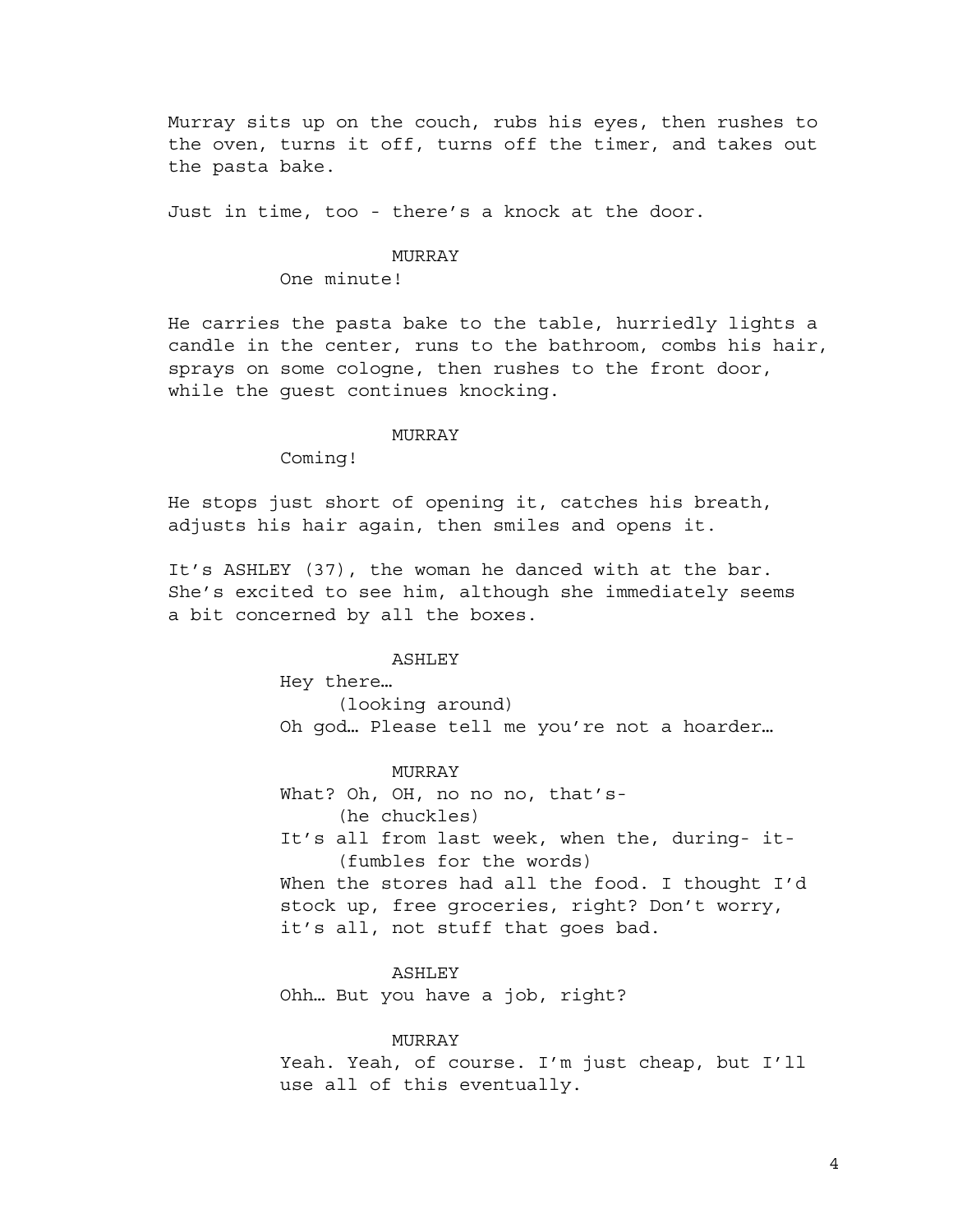Murray sits up on the couch, rubs his eyes, then rushes to the oven, turns it off, turns off the timer, and takes out the pasta bake.

Just in time, too - there's a knock at the door.

#### MURRAY

One minute!

He carries the pasta bake to the table, hurriedly lights a candle in the center, runs to the bathroom, combs his hair, sprays on some cologne, then rushes to the front door, while the guest continues knocking.

### MURRAY

Coming!

He stops just short of opening it, catches his breath, adjusts his hair again, then smiles and opens it.

It's ASHLEY (37), the woman he danced with at the bar. She's excited to see him, although she immediately seems a bit concerned by all the boxes.

#### ASHLEY

Hey there…

(looking around) Oh god… Please tell me you're not a hoarder…

MURRAY What? Oh, OH, no no no, that's- (he chuckles) It's all from last week, when the, during- it- (fumbles for the words) When the stores had all the food. I thought I'd stock up, free groceries, right? Don't worry, it's all, not stuff that goes bad.

ASHLEY Ohh… But you have a job, right?

**MURRAY** 

Yeah. Yeah, of course. I'm just cheap, but I'll use all of this eventually.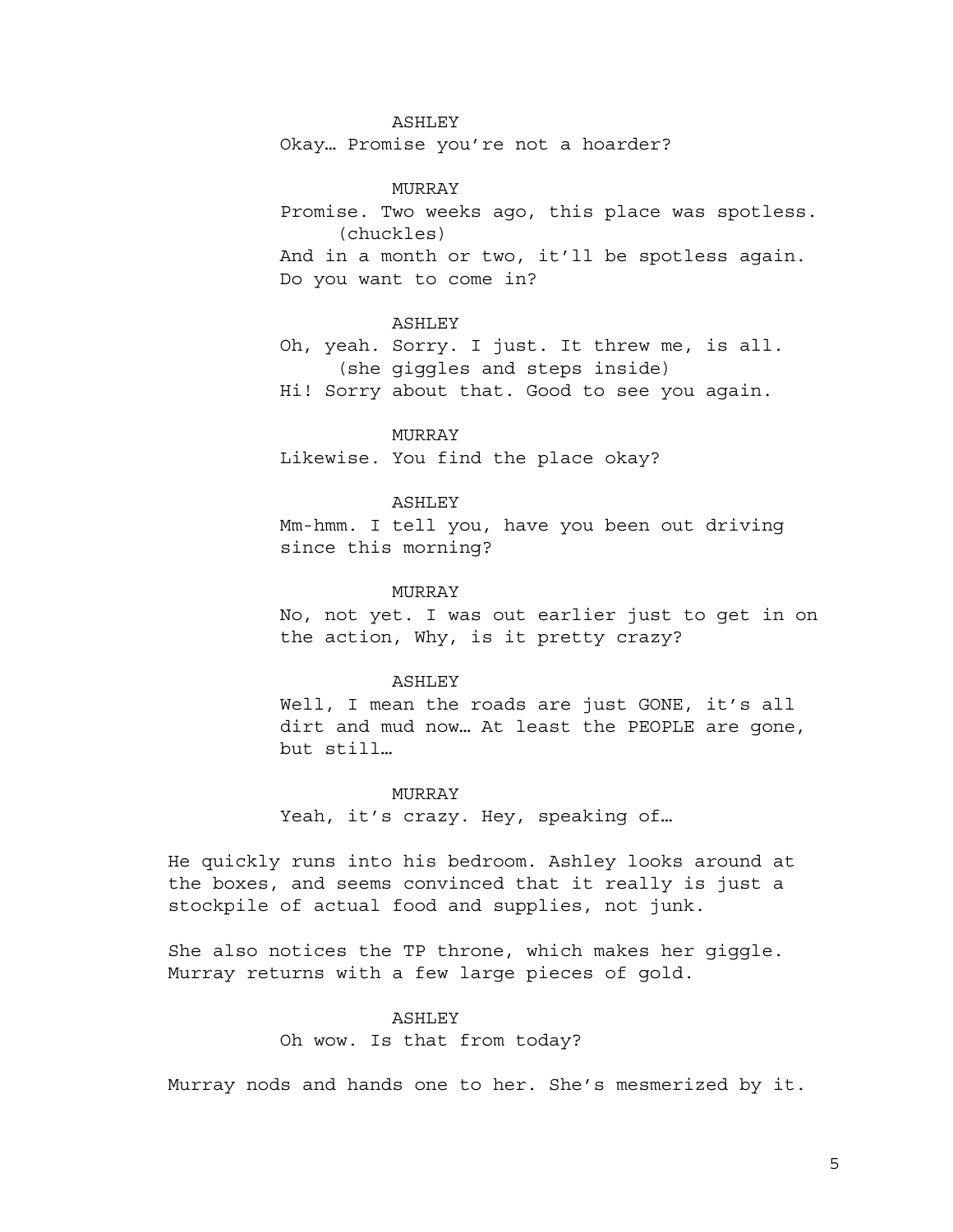### ASHLEY

Okay… Promise you're not a hoarder?

MURRAY Promise. Two weeks ago, this place was spotless. (chuckles) And in a month or two, it'll be spotless again. Do you want to come in?

### ASHLEY

Oh, yeah. Sorry. I just. It threw me, is all. (she giggles and steps inside)

Hi! Sorry about that. Good to see you again.

### MURRAY

Likewise. You find the place okay?

#### ASHLEY

Mm-hmm. I tell you, have you been out driving since this morning?

### MURRAY

No, not yet. I was out earlier just to get in on the action, Why, is it pretty crazy?

#### ASHLEY

Well, I mean the roads are just GONE, it's all dirt and mud now… At least the PEOPLE are gone, but still…

#### MURRAY

Yeah, it's crazy. Hey, speaking of…

He quickly runs into his bedroom. Ashley looks around at the boxes, and seems convinced that it really is just a stockpile of actual food and supplies, not junk.

She also notices the TP throne, which makes her giggle. Murray returns with a few large pieces of gold.

### ASHLEY

Oh wow. Is that from today?

Murray nods and hands one to her. She's mesmerized by it.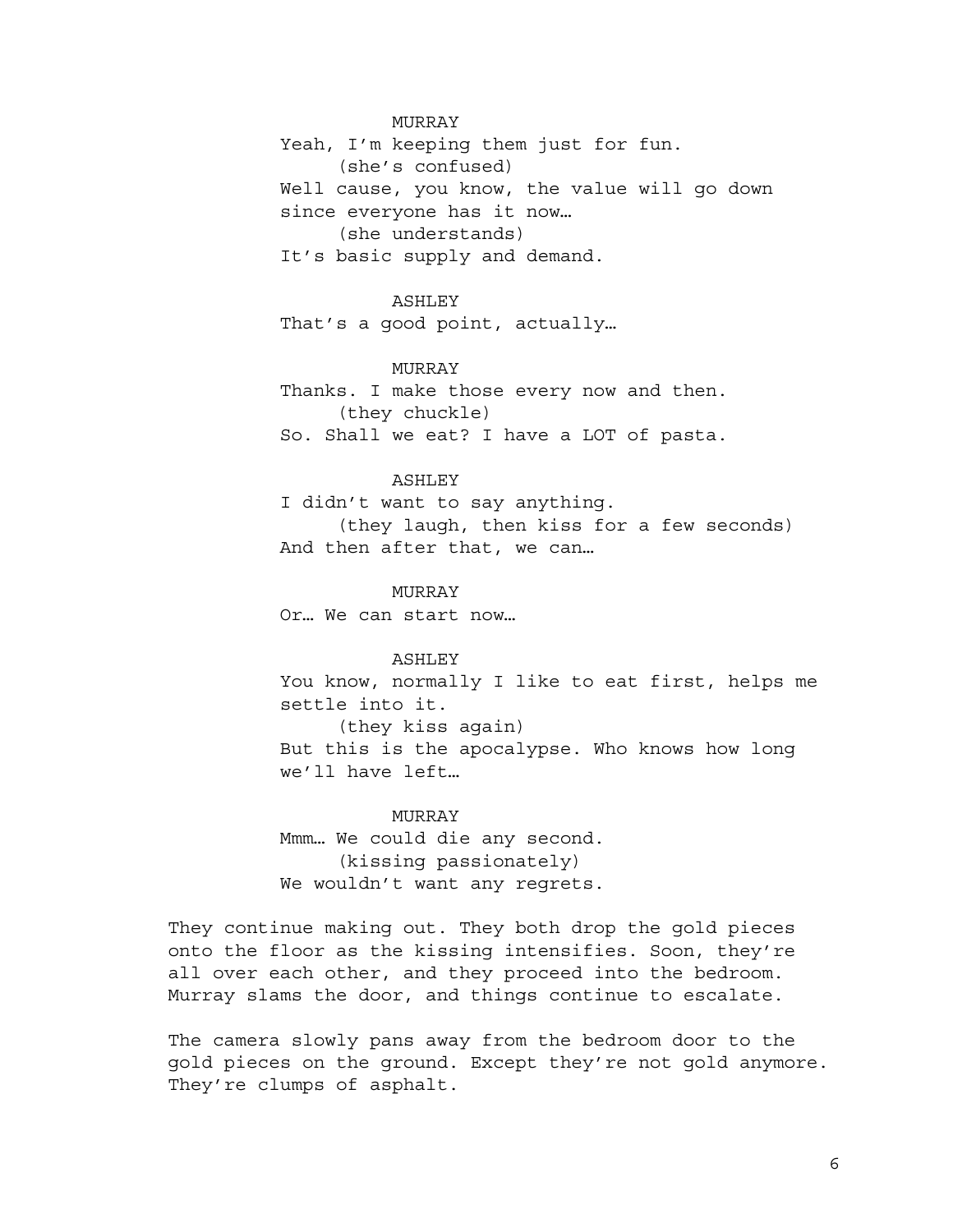MURRAY

Yeah, I'm keeping them just for fun. (she's confused) Well cause, you know, the value will go down since everyone has it now… (she understands)

It's basic supply and demand.

### ASHLEY

That's a good point, actually…

## MURRAY

Thanks. I make those every now and then. (they chuckle) So. Shall we eat? I have a LOT of pasta.

## ASHLEY

I didn't want to say anything. (they laugh, then kiss for a few seconds) And then after that, we can…

#### MURRAY

Or… We can start now…

## ASHLEY

You know, normally I like to eat first, helps me settle into it. (they kiss again)

But this is the apocalypse. Who knows how long we'll have left…

## MURRAY

Mmm… We could die any second. (kissing passionately) We wouldn't want any regrets.

They continue making out. They both drop the gold pieces onto the floor as the kissing intensifies. Soon, they're all over each other, and they proceed into the bedroom. Murray slams the door, and things continue to escalate.

The camera slowly pans away from the bedroom door to the gold pieces on the ground. Except they're not gold anymore. They're clumps of asphalt.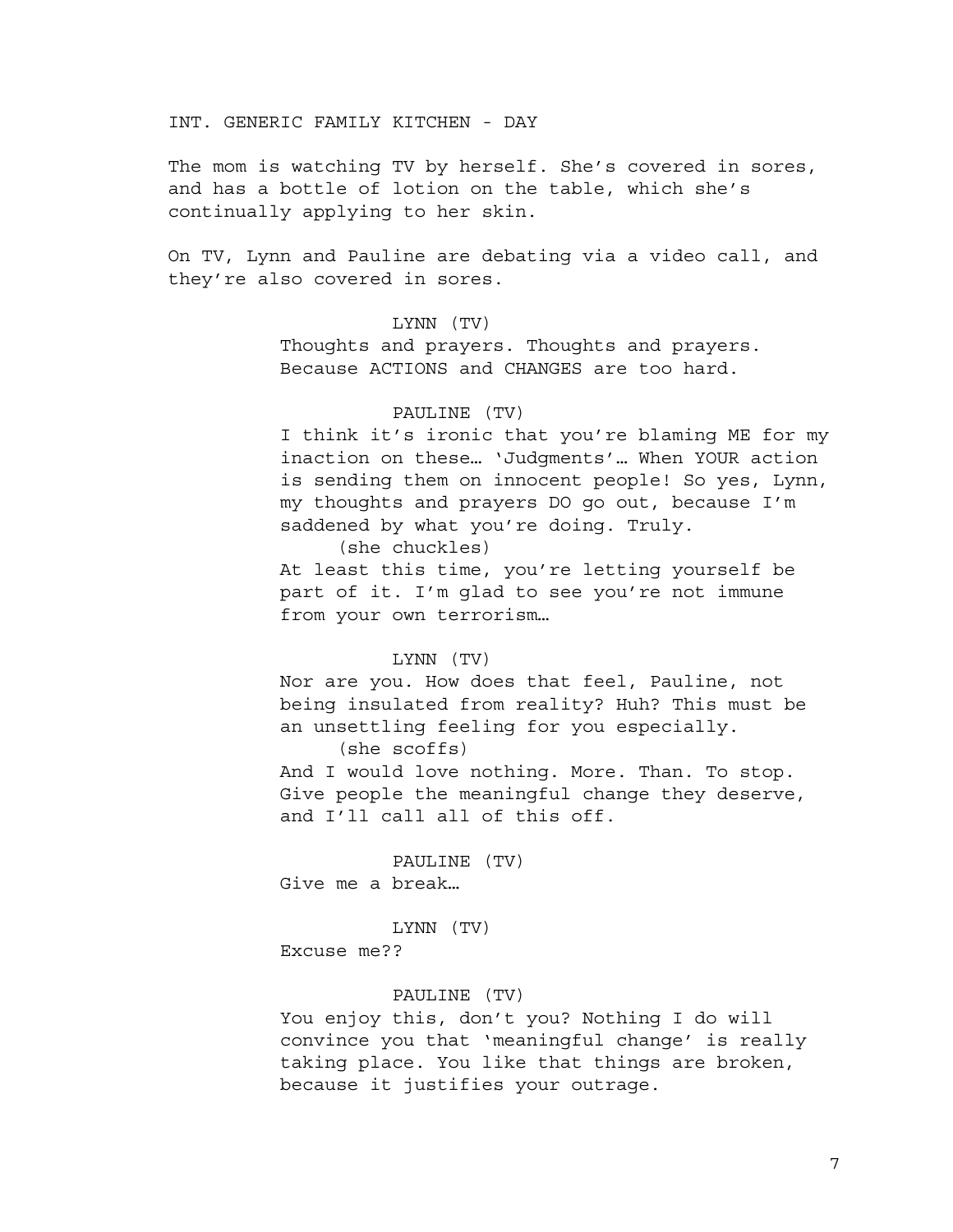INT. GENERIC FAMILY KITCHEN - DAY

The mom is watching TV by herself. She's covered in sores, and has a bottle of lotion on the table, which she's continually applying to her skin.

On TV, Lynn and Pauline are debating via a video call, and they're also covered in sores.

## LYNN (TV)

Thoughts and prayers. Thoughts and prayers. Because ACTIONS and CHANGES are too hard.

## PAULINE (TV)

I think it's ironic that you're blaming ME for my inaction on these… 'Judgments'… When YOUR action is sending them on innocent people! So yes, Lynn, my thoughts and prayers DO go out, because I'm saddened by what you're doing. Truly.

(she chuckles)

At least this time, you're letting yourself be part of it. I'm glad to see you're not immune from your own terrorism…

## LYNN (TV)

Nor are you. How does that feel, Pauline, not being insulated from reality? Huh? This must be an unsettling feeling for you especially. (she scoffs)

And I would love nothing. More. Than. To stop. Give people the meaningful change they deserve, and I'll call all of this off.

PAULINE (TV) Give me a break…

LYNN (TV)

Excuse me??

## PAULINE (TV)

You enjoy this, don't you? Nothing I do will convince you that 'meaningful change' is really taking place. You like that things are broken, because it justifies your outrage.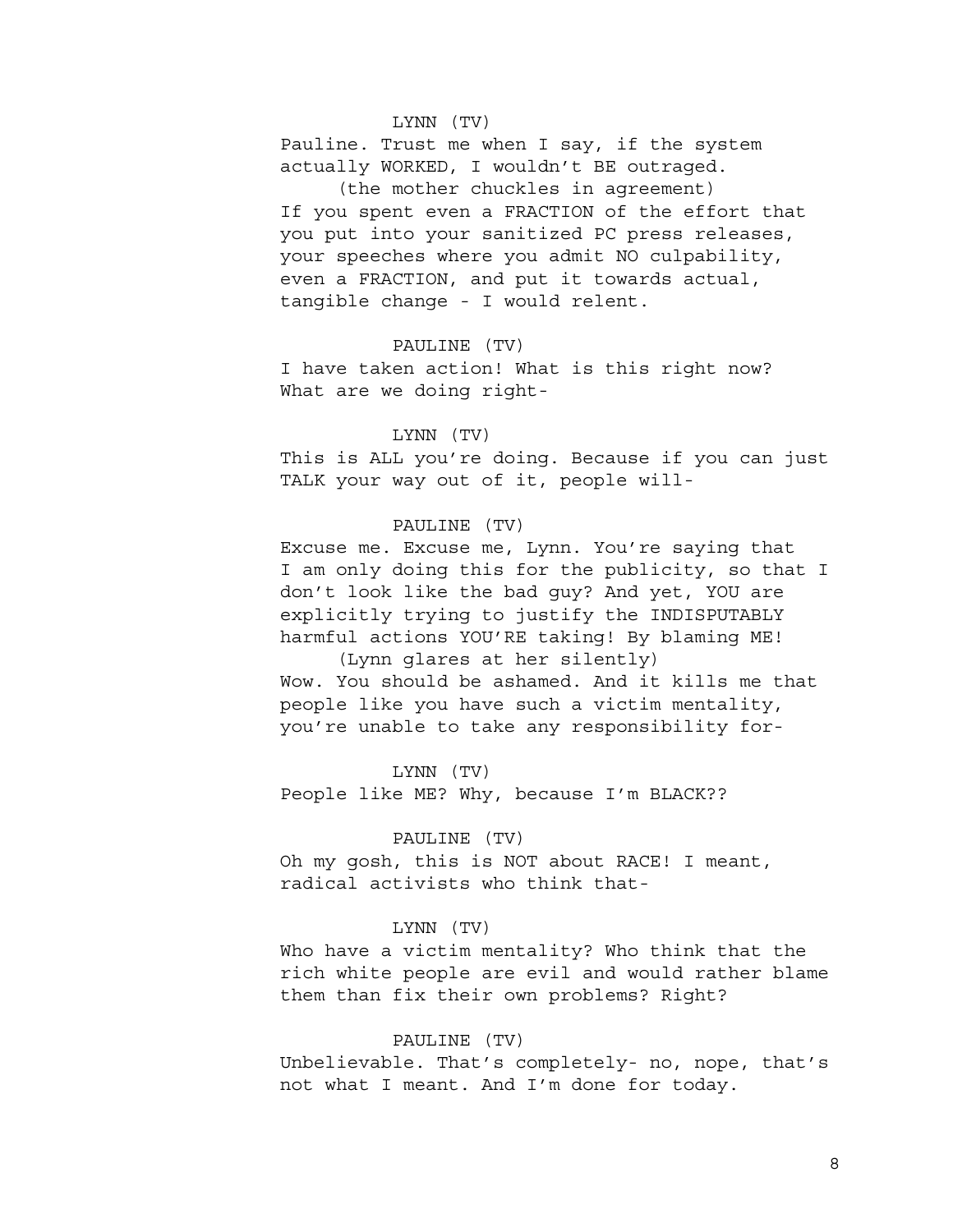## LYNN (TV)

Pauline. Trust me when I say, if the system actually WORKED, I wouldn't BE outraged.

(the mother chuckles in agreement) If you spent even a FRACTION of the effort that you put into your sanitized PC press releases, your speeches where you admit NO culpability, even a FRACTION, and put it towards actual, tangible change - I would relent.

### PAULINE (TV)

I have taken action! What is this right now? What are we doing right-

## LYNN (TV)

This is ALL you're doing. Because if you can just TALK your way out of it, people will-

## PAULINE (TV)

Excuse me. Excuse me, Lynn. You're saying that I am only doing this for the publicity, so that I don't look like the bad guy? And yet, YOU are explicitly trying to justify the INDISPUTABLY harmful actions YOU'RE taking! By blaming ME!

(Lynn glares at her silently) Wow. You should be ashamed. And it kills me that people like you have such a victim mentality, you're unable to take any responsibility for-

LYNN (TV)

People like ME? Why, because I'm BLACK??

## PAULINE (TV)

Oh my gosh, this is NOT about RACE! I meant, radical activists who think that-

### LYNN (TV)

Who have a victim mentality? Who think that the rich white people are evil and would rather blame them than fix their own problems? Right?

#### PAULINE (TV)

Unbelievable. That's completely- no, nope, that's not what I meant. And I'm done for today.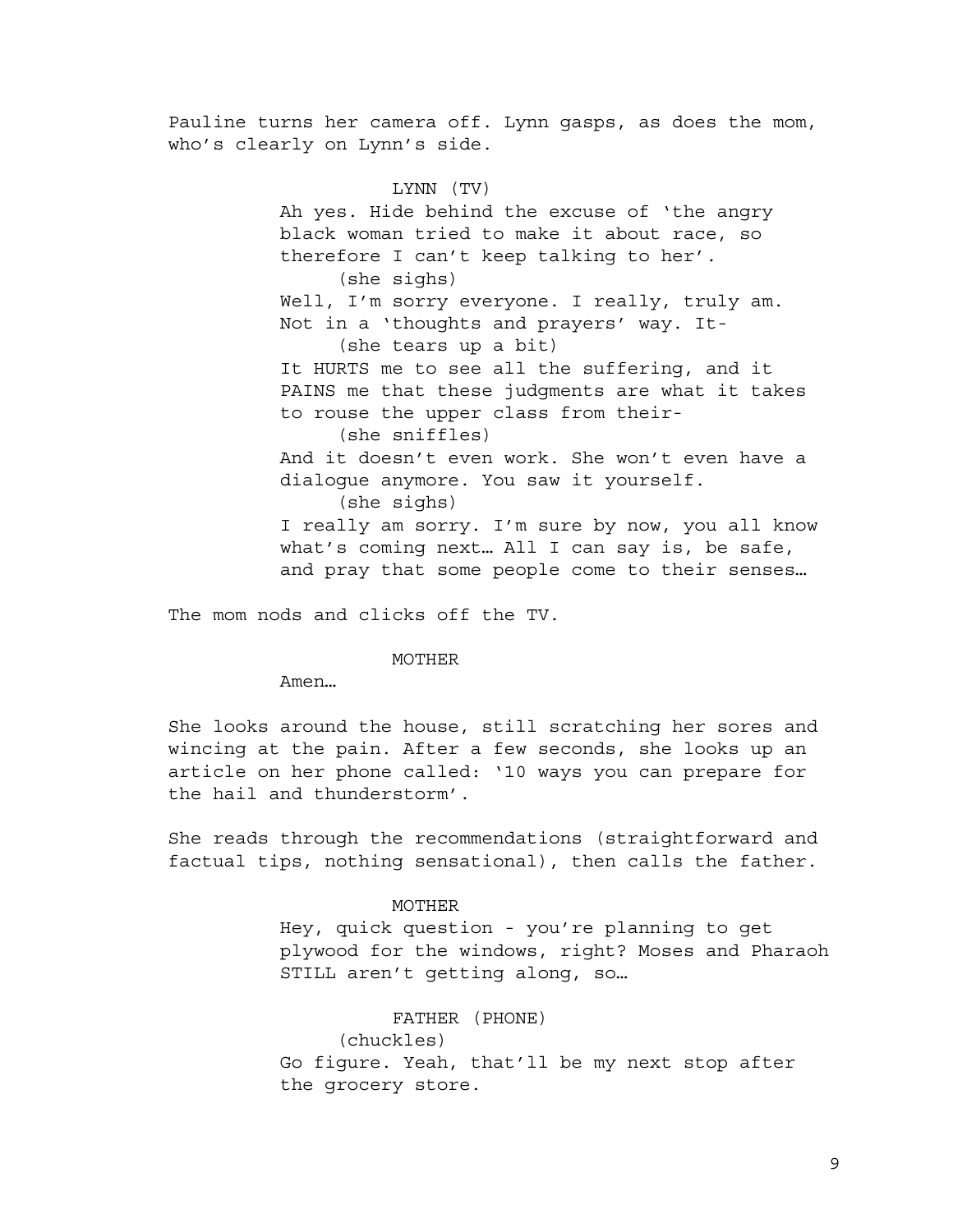Pauline turns her camera off. Lynn gasps, as does the mom, who's clearly on Lynn's side.

> LYNN (TV) Ah yes. Hide behind the excuse of 'the angry black woman tried to make it about race, so therefore I can't keep talking to her'. (she sighs) Well, I'm sorry everyone. I really, truly am. Not in a 'thoughts and prayers' way. It- (she tears up a bit) It HURTS me to see all the suffering, and it PAINS me that these judgments are what it takes to rouse the upper class from their- (she sniffles) And it doesn't even work. She won't even have a dialogue anymore. You saw it yourself. (she sighs) I really am sorry. I'm sure by now, you all know what's coming next… All I can say is, be safe, and pray that some people come to their senses…

The mom nods and clicks off the TV.

MOTHER

Amen…

She looks around the house, still scratching her sores and wincing at the pain. After a few seconds, she looks up an article on her phone called: '10 ways you can prepare for the hail and thunderstorm'.

She reads through the recommendations (straightforward and factual tips, nothing sensational), then calls the father.

#### MOTHER

Hey, quick question - you're planning to get plywood for the windows, right? Moses and Pharaoh STILL aren't getting along, so…

> FATHER (PHONE) (chuckles)

Go figure. Yeah, that'll be my next stop after the grocery store.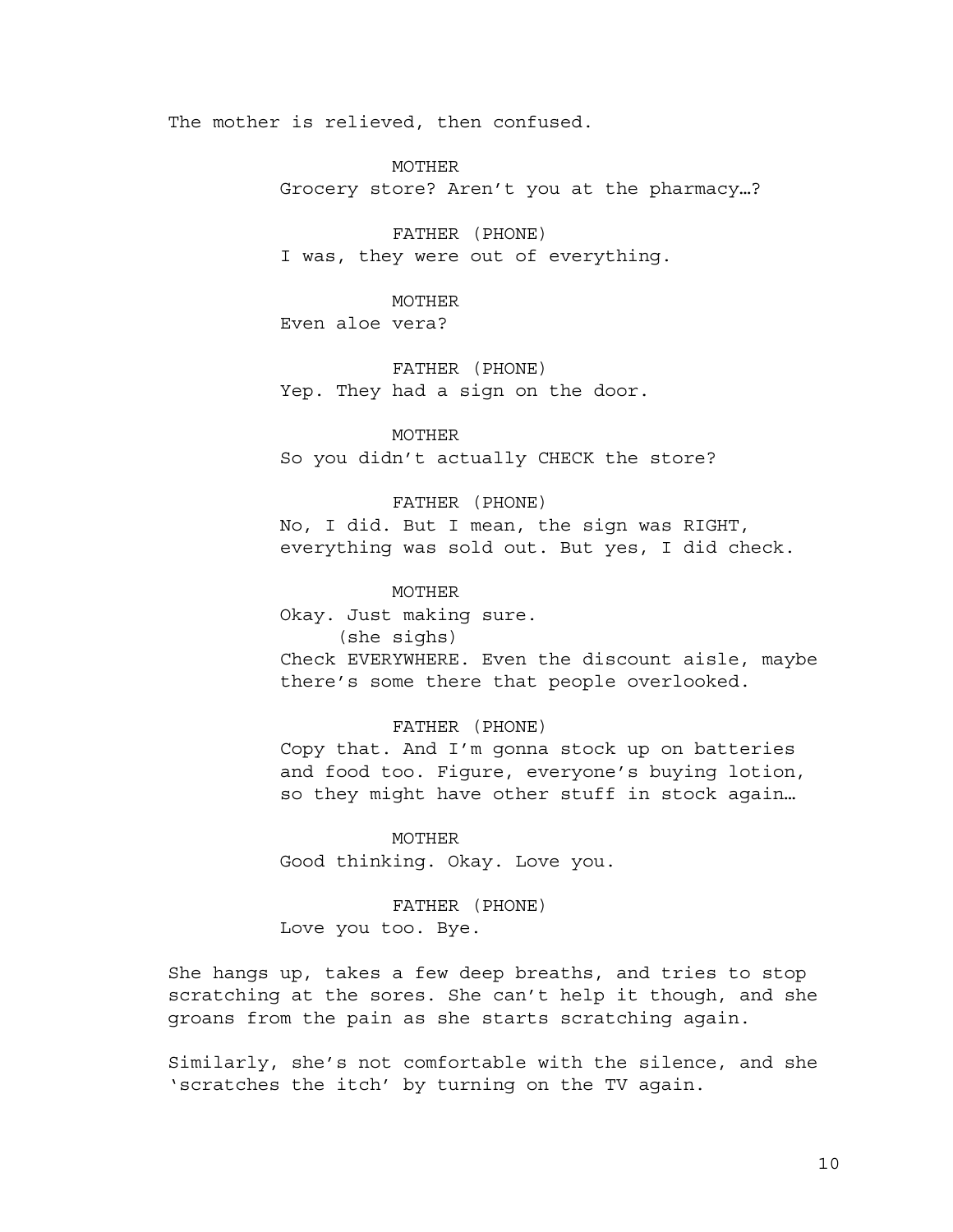The mother is relieved, then confused.

MOTHER

Grocery store? Aren't you at the pharmacy…?

FATHER (PHONE) I was, they were out of everything.

MOTHER Even aloe vera?

FATHER (PHONE) Yep. They had a sign on the door.

MOTHER So you didn't actually CHECK the store?

FATHER (PHONE)

No, I did. But I mean, the sign was RIGHT, everything was sold out. But yes, I did check.

MOTHER Okay. Just making sure. (she sighs)

Check EVERYWHERE. Even the discount aisle, maybe there's some there that people overlooked.

FATHER (PHONE)

Copy that. And I'm gonna stock up on batteries and food too. Figure, everyone's buying lotion, so they might have other stuff in stock again…

MOTHER Good thinking. Okay. Love you.

FATHER (PHONE) Love you too. Bye.

She hangs up, takes a few deep breaths, and tries to stop scratching at the sores. She can't help it though, and she groans from the pain as she starts scratching again.

Similarly, she's not comfortable with the silence, and she 'scratches the itch' by turning on the TV again.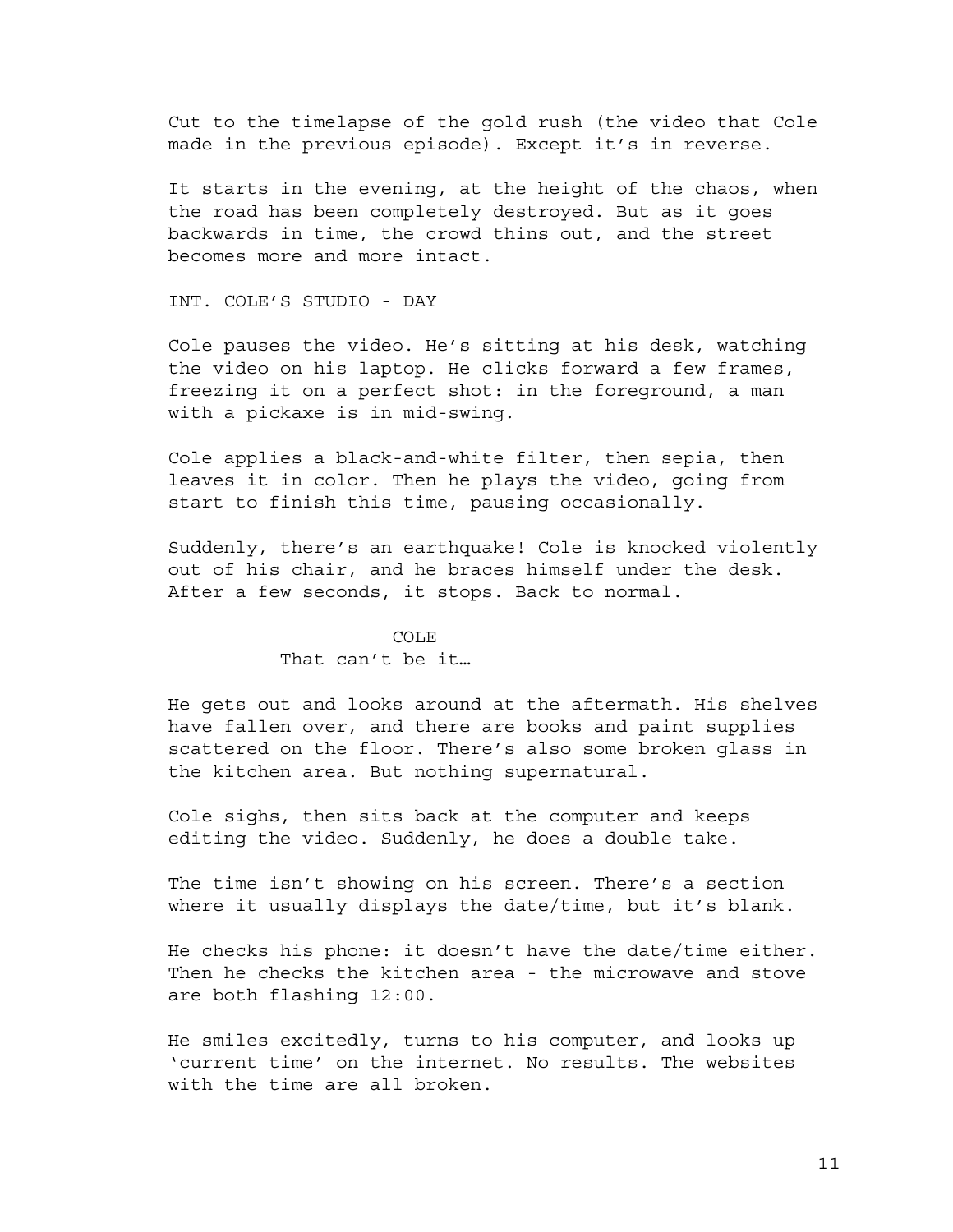Cut to the timelapse of the gold rush (the video that Cole made in the previous episode). Except it's in reverse.

It starts in the evening, at the height of the chaos, when the road has been completely destroyed. But as it goes backwards in time, the crowd thins out, and the street becomes more and more intact.

INT. COLE'S STUDIO - DAY

Cole pauses the video. He's sitting at his desk, watching the video on his laptop. He clicks forward a few frames, freezing it on a perfect shot: in the foreground, a man with a pickaxe is in mid-swing.

Cole applies a black-and-white filter, then sepia, then leaves it in color. Then he plays the video, going from start to finish this time, pausing occasionally.

Suddenly, there's an earthquake! Cole is knocked violently out of his chair, and he braces himself under the desk. After a few seconds, it stops. Back to normal.

#### COLE

### That can't be it…

He gets out and looks around at the aftermath. His shelves have fallen over, and there are books and paint supplies scattered on the floor. There's also some broken glass in the kitchen area. But nothing supernatural.

Cole sighs, then sits back at the computer and keeps editing the video. Suddenly, he does a double take.

The time isn't showing on his screen. There's a section where it usually displays the date/time, but it's blank.

He checks his phone: it doesn't have the date/time either. Then he checks the kitchen area - the microwave and stove are both flashing 12:00.

He smiles excitedly, turns to his computer, and looks up 'current time' on the internet. No results. The websites with the time are all broken.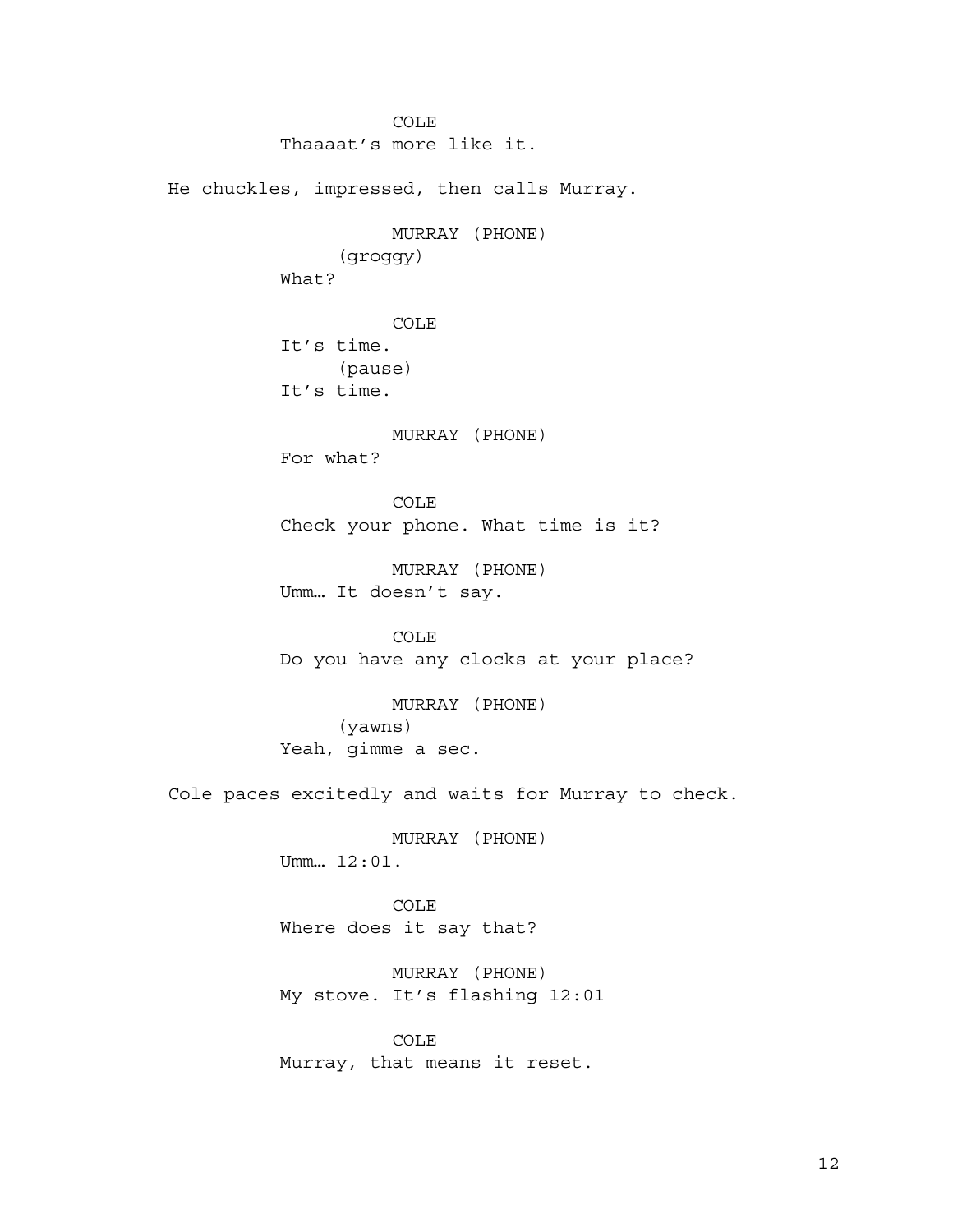COLE Thaaaat's more like it. He chuckles, impressed, then calls Murray. MURRAY (PHONE) (groggy) What? COLE It's time. (pause) It's time. MURRAY (PHONE) For what? COLE Check your phone. What time is it? MURRAY (PHONE) Umm… It doesn't say. COLE Do you have any clocks at your place? MURRAY (PHONE) (yawns) Yeah, gimme a sec. Cole paces excitedly and waits for Murray to check. MURRAY (PHONE) Umm… 12:01. COLE Where does it say that? MURRAY (PHONE) My stove. It's flashing 12:01 COLE Murray, that means it reset.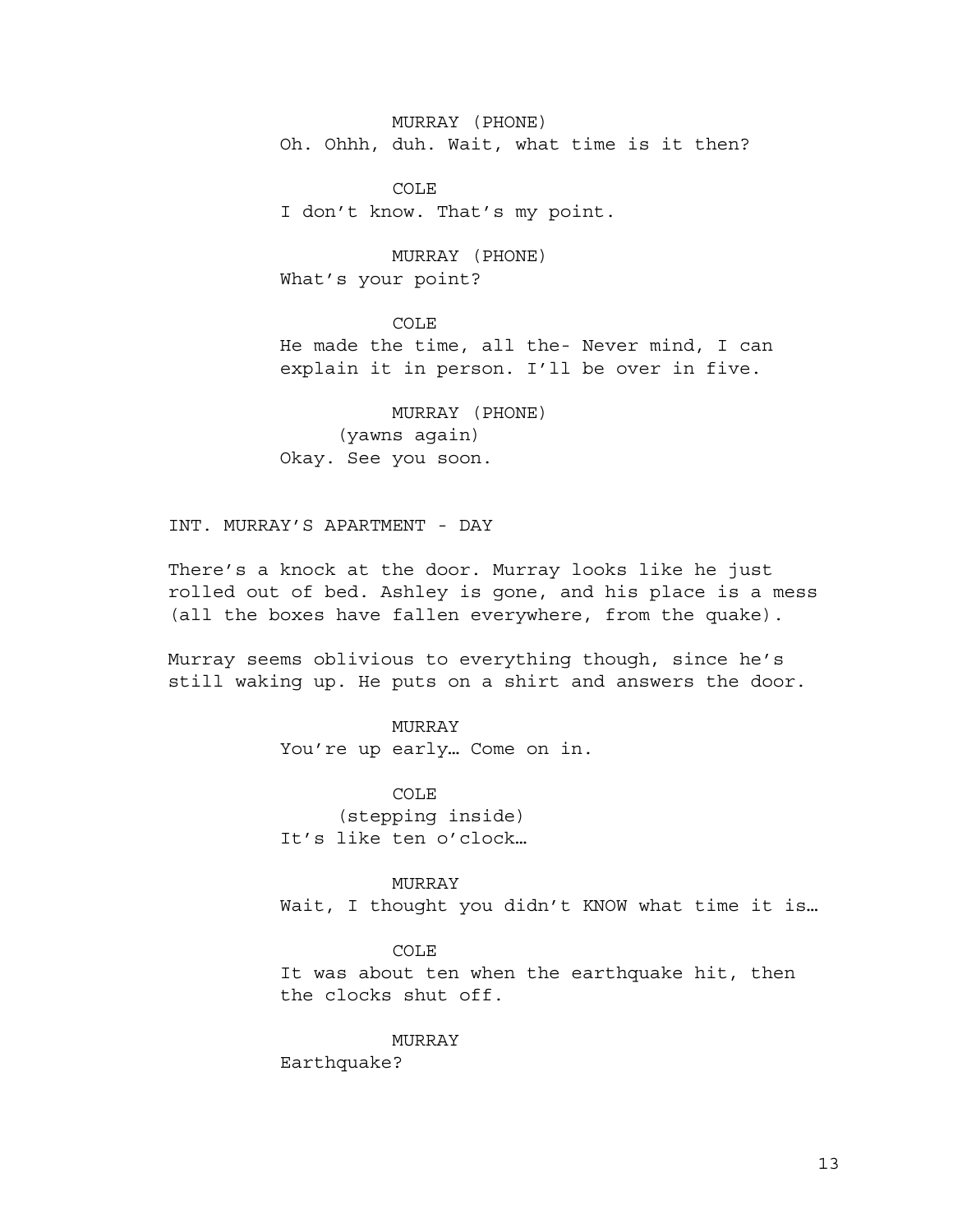MURRAY (PHONE) Oh. Ohhh, duh. Wait, what time is it then?

COLE I don't know. That's my point.

MURRAY (PHONE) What's your point?

COLE He made the time, all the- Never mind, I can explain it in person. I'll be over in five.

MURRAY (PHONE) (yawns again) Okay. See you soon.

INT. MURRAY'S APARTMENT - DAY

There's a knock at the door. Murray looks like he just rolled out of bed. Ashley is gone, and his place is a mess (all the boxes have fallen everywhere, from the quake).

Murray seems oblivious to everything though, since he's still waking up. He puts on a shirt and answers the door.

## MURRAY

You're up early… Come on in.

COLE (stepping inside) It's like ten o'clock…

MURRAY Wait, I thought you didn't KNOW what time it is…

### COLE

It was about ten when the earthquake hit, then the clocks shut off.

### **MURRAY**

Earthquake?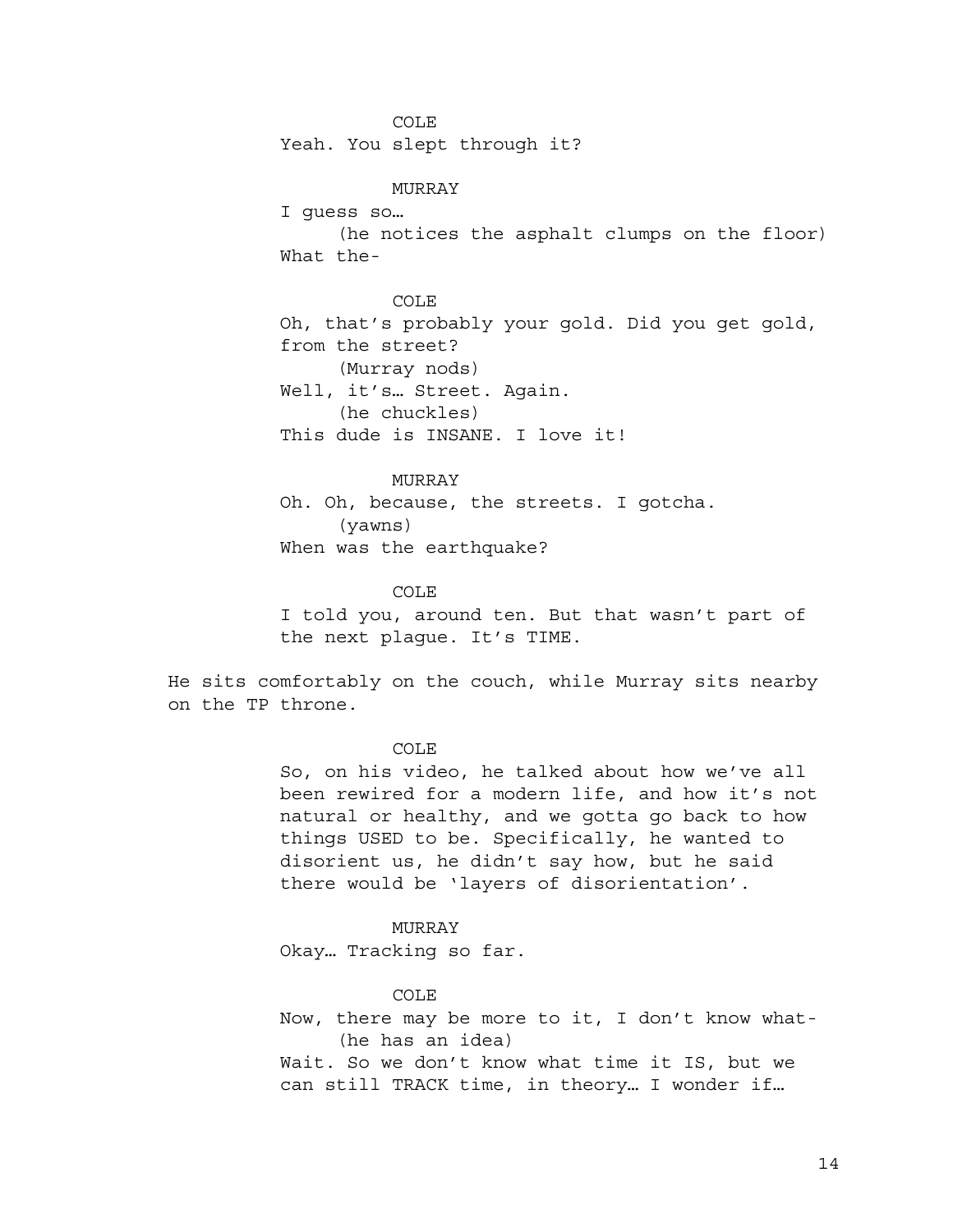COLE

Yeah. You slept through it?

MURRAY

I guess so…

(he notices the asphalt clumps on the floor) What the-

COLE Oh, that's probably your gold. Did you get gold, from the street? (Murray nods) Well, it's… Street. Again. (he chuckles) This dude is INSANE. I love it!

## MURRAY

Oh. Oh, because, the streets. I gotcha. (yawns) When was the earthquake?

#### COLE

I told you, around ten. But that wasn't part of the next plague. It's TIME.

He sits comfortably on the couch, while Murray sits nearby on the TP throne.

#### COLE

So, on his video, he talked about how we've all been rewired for a modern life, and how it's not natural or healthy, and we gotta go back to how things USED to be. Specifically, he wanted to disorient us, he didn't say how, but he said there would be 'layers of disorientation'.

#### MURRAY

Okay… Tracking so far.

#### COLE

Now, there may be more to it, I don't know what- (he has an idea) Wait. So we don't know what time it IS, but we can still TRACK time, in theory… I wonder if…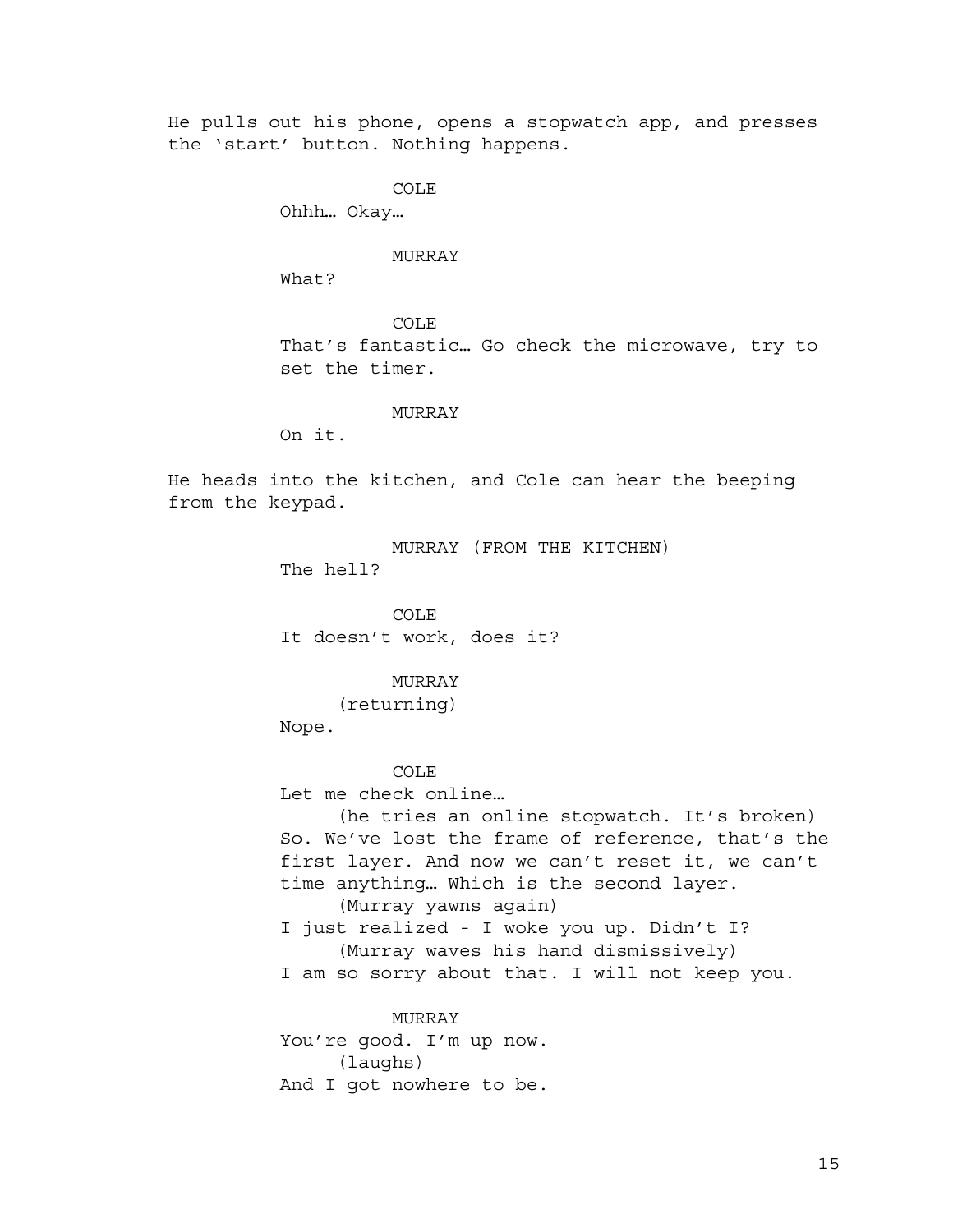He pulls out his phone, opens a stopwatch app, and presses the 'start' button. Nothing happens.

COLE

Ohhh… Okay…

## MURRAY

What?

COLE That's fantastic… Go check the microwave, try to set the timer.

MURRAY

On it.

He heads into the kitchen, and Cole can hear the beeping from the keypad.

> MURRAY (FROM THE KITCHEN) The hell?

COLE It doesn't work, does it?

### MURRAY

(returning)

Nope.

COLE

Let me check online…

(he tries an online stopwatch. It's broken) So. We've lost the frame of reference, that's the first layer. And now we can't reset it, we can't time anything… Which is the second layer. (Murray yawns again) I just realized - I woke you up. Didn't I? (Murray waves his hand dismissively) I am so sorry about that. I will not keep you.

MURRAY You're good. I'm up now. (laughs) And I got nowhere to be.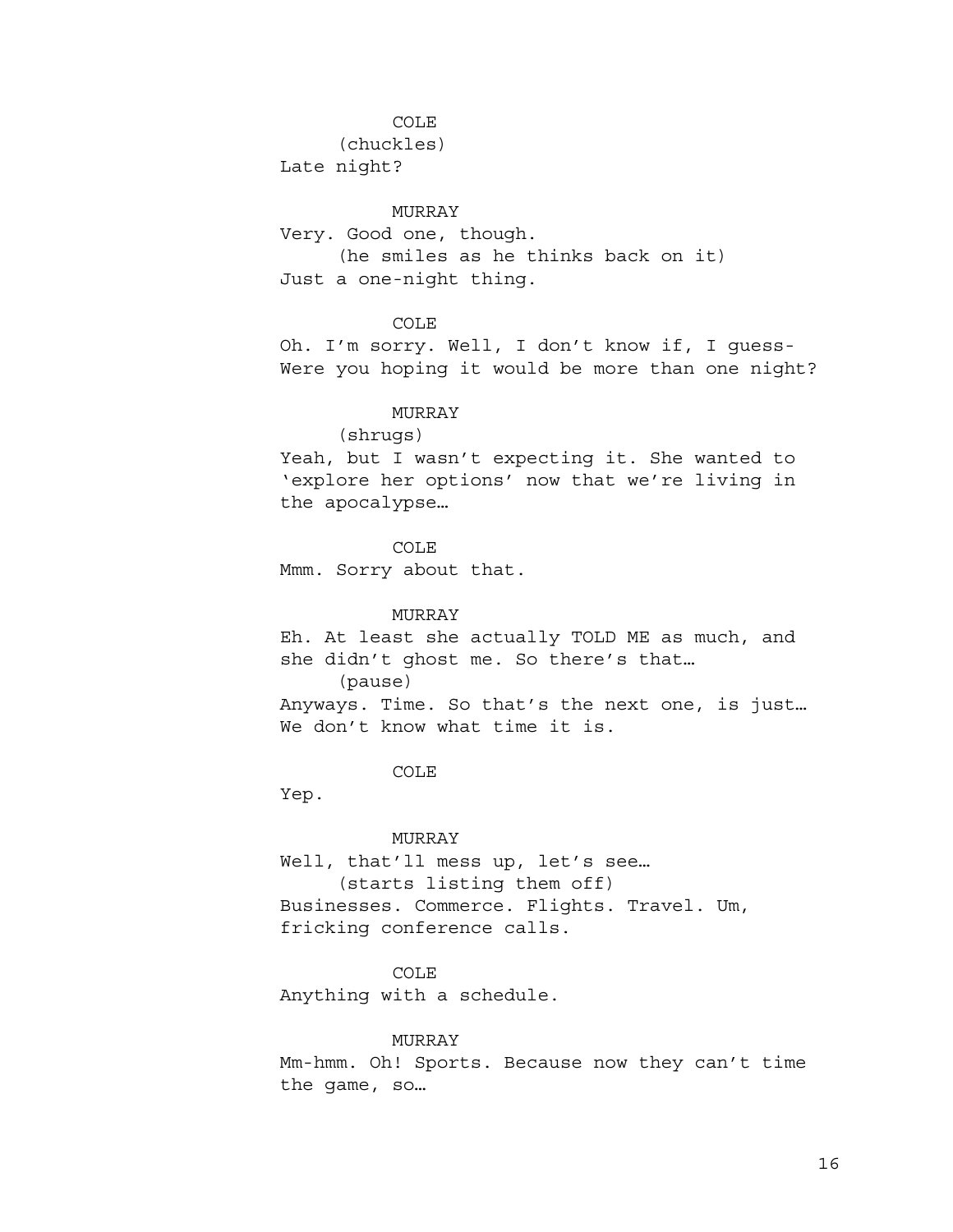#### COLE

(chuckles)

Late night?

## MURRAY

Very. Good one, though. (he smiles as he thinks back on it) Just a one-night thing.

COLE

Oh. I'm sorry. Well, I don't know if, I guess-Were you hoping it would be more than one night?

## MURRAY

### (shrugs)

Yeah, but I wasn't expecting it. She wanted to 'explore her options' now that we're living in the apocalypse…

COLE

Mmm. Sorry about that.

### MURRAY

Eh. At least she actually TOLD ME as much, and she didn't ghost me. So there's that… (pause) Anyways. Time. So that's the next one, is just… We don't know what time it is.

COLE

Yep.

## MURRAY

Well, that'll mess up, let's see… (starts listing them off) Businesses. Commerce. Flights. Travel. Um, fricking conference calls.

## COLE

Anything with a schedule.

### MURRAY

Mm-hmm. Oh! Sports. Because now they can't time the game, so…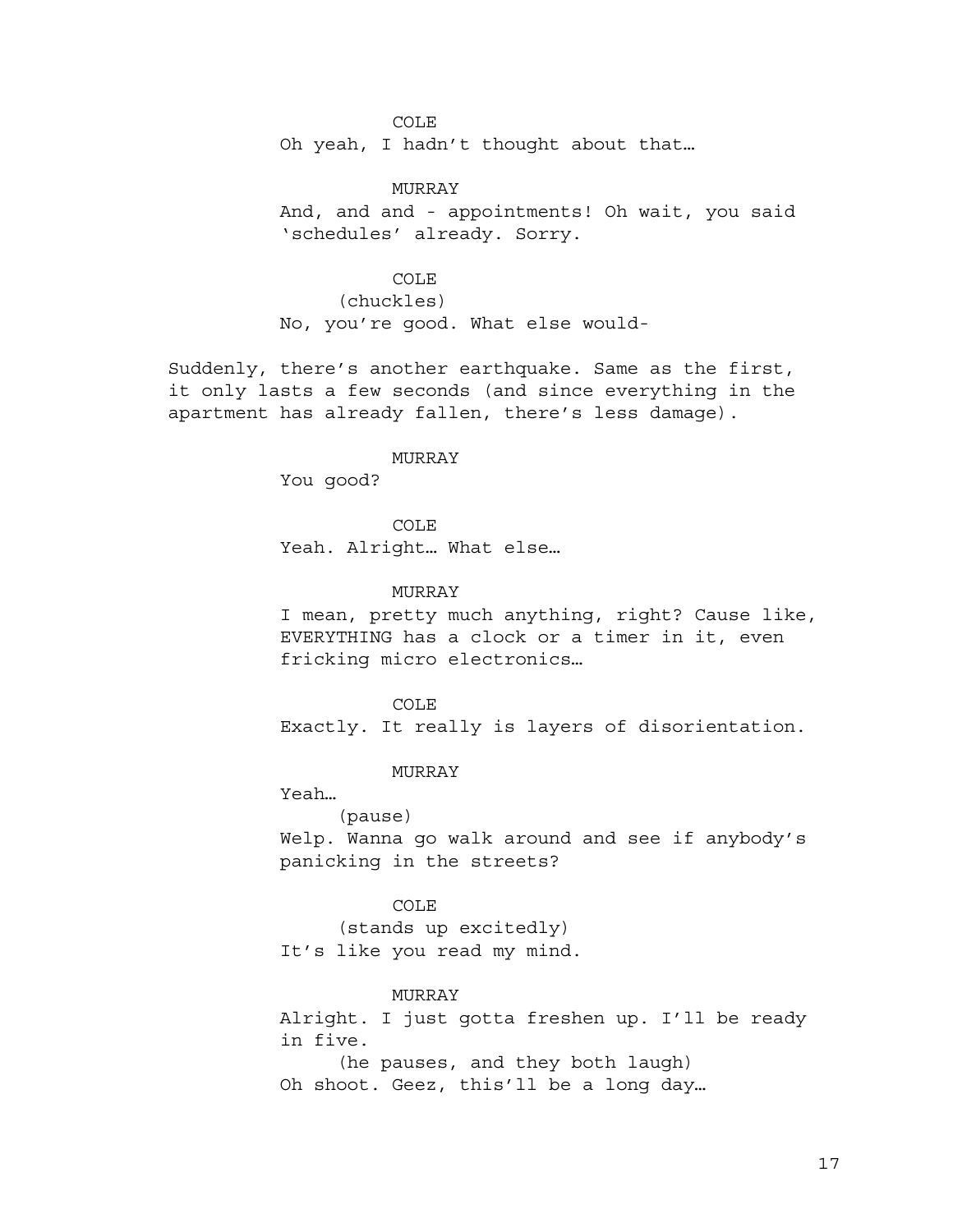COLE

Oh yeah, I hadn't thought about that…

MURRAY And, and and - appointments! Oh wait, you said 'schedules' already. Sorry.

## COLE

(chuckles) No, you're good. What else would-

Suddenly, there's another earthquake. Same as the first, it only lasts a few seconds (and since everything in the apartment has already fallen, there's less damage).

#### MURRAY

You good?

COLE Yeah. Alright… What else…

## MURRAY

I mean, pretty much anything, right? Cause like, EVERYTHING has a clock or a timer in it, even fricking micro electronics…

COLE

Exactly. It really is layers of disorientation.

MURRAY

Yeah…

(pause)

Welp. Wanna go walk around and see if anybody's panicking in the streets?

#### COLE

(stands up excitedly) It's like you read my mind.

### MURRAY

Alright. I just gotta freshen up. I'll be ready in five.

(he pauses, and they both laugh) Oh shoot. Geez, this'll be a long day…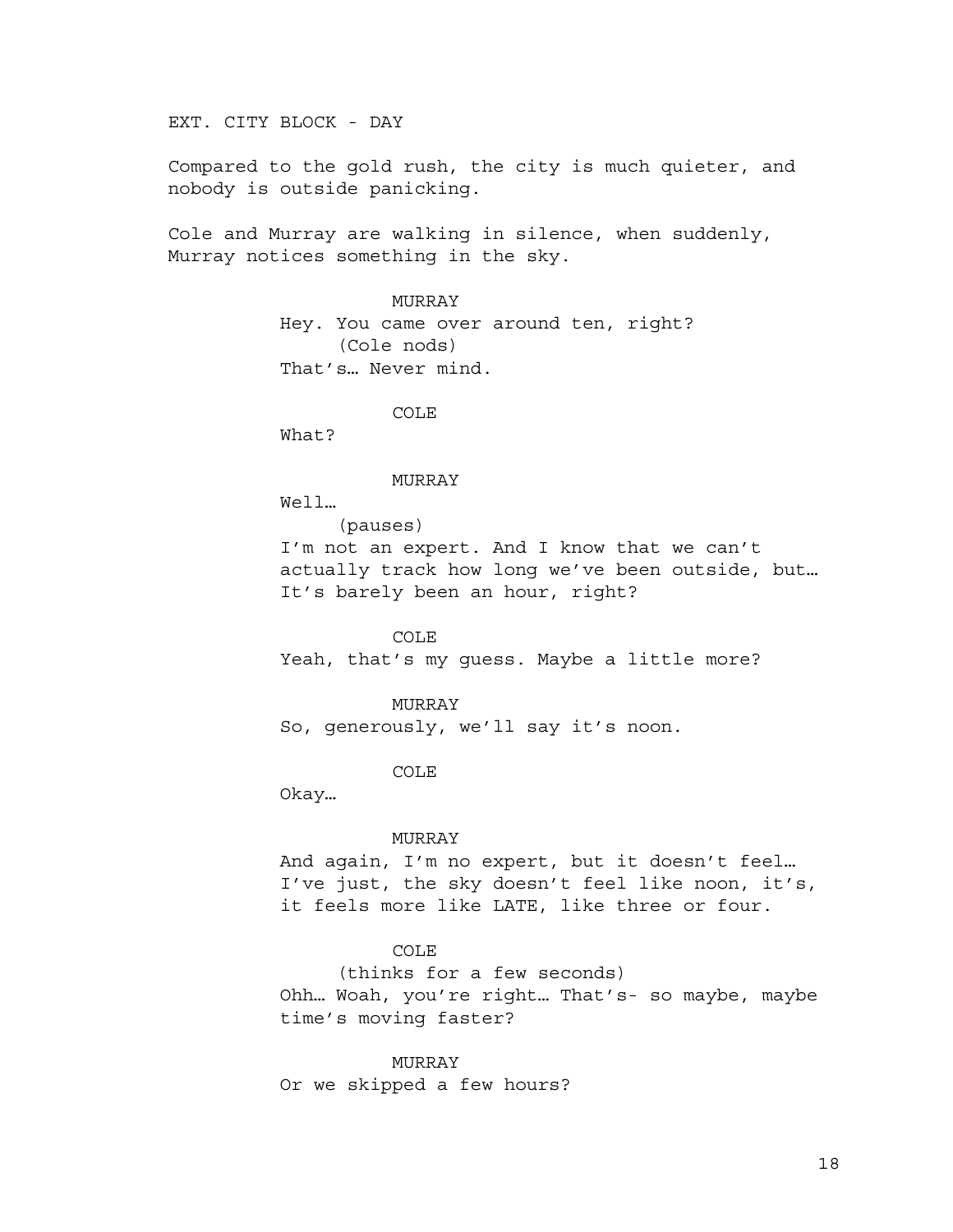EXT. CITY BLOCK - DAY

Compared to the gold rush, the city is much quieter, and nobody is outside panicking.

Cole and Murray are walking in silence, when suddenly, Murray notices something in the sky.

## MURRAY

Hey. You came over around ten, right? (Cole nods) That's… Never mind.

COLE

What?

#### MURRAY

Well…

(pauses)

I'm not an expert. And I know that we can't actually track how long we've been outside, but… It's barely been an hour, right?

COLE

Yeah, that's my guess. Maybe a little more?

MURRAY

So, generously, we'll say it's noon.

COLE

Okay…

### MURRAY

And again, I'm no expert, but it doesn't feel… I've just, the sky doesn't feel like noon, it's, it feels more like LATE, like three or four.

## COLE

(thinks for a few seconds)

Ohh… Woah, you're right… That's- so maybe, maybe time's moving faster?

MURRAY Or we skipped a few hours?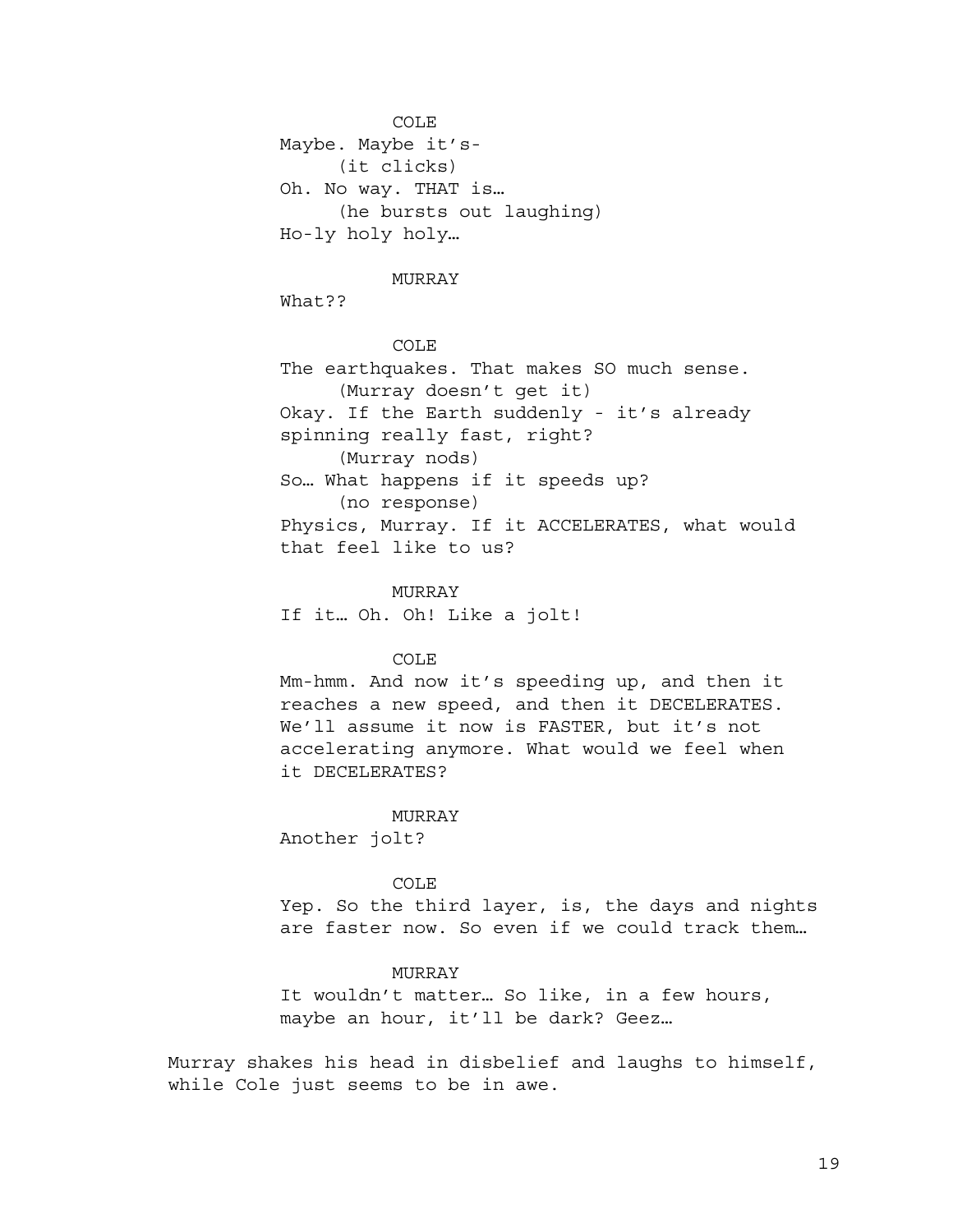COLE Maybe. Maybe it's- (it clicks) Oh. No way. THAT is… (he bursts out laughing) Ho-ly holy holy…

#### MURRAY

What??

COLE The earthquakes. That makes SO much sense. (Murray doesn't get it) Okay. If the Earth suddenly - it's already spinning really fast, right? (Murray nods) So… What happens if it speeds up? (no response) Physics, Murray. If it ACCELERATES, what would that feel like to us?

MURRAY If it… Oh. Oh! Like a jolt!

COLE

Mm-hmm. And now it's speeding up, and then it reaches a new speed, and then it DECELERATES. We'll assume it now is FASTER, but it's not accelerating anymore. What would we feel when it DECELERATES?

### MURRAY

Another jolt?

### COLE

Yep. So the third layer, is, the days and nights are faster now. So even if we could track them…

## MURRAY

It wouldn't matter… So like, in a few hours, maybe an hour, it'll be dark? Geez…

Murray shakes his head in disbelief and laughs to himself, while Cole just seems to be in awe.